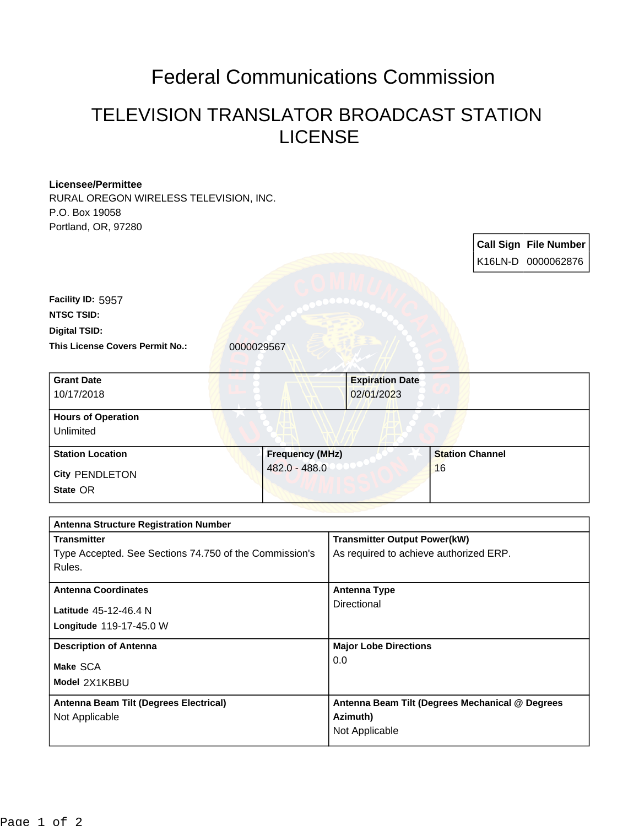## Federal Communications Commission

## TELEVISION TRANSLATOR BROADCAST STATION LICENSE

| <b>Licensee/Permittee</b>                              |               |                        |                                                 |                              |  |                              |  |
|--------------------------------------------------------|---------------|------------------------|-------------------------------------------------|------------------------------|--|------------------------------|--|
| RURAL OREGON WIRELESS TELEVISION, INC.                 |               |                        |                                                 |                              |  |                              |  |
| P.O. Box 19058<br>Portland, OR, 97280                  |               |                        |                                                 |                              |  |                              |  |
|                                                        |               |                        |                                                 |                              |  |                              |  |
|                                                        |               |                        |                                                 |                              |  | <b>Call Sign File Number</b> |  |
|                                                        |               |                        |                                                 |                              |  | K16LN-D 0000062876           |  |
| Facility ID: 5957                                      |               |                        |                                                 |                              |  |                              |  |
| <b>NTSC TSID:</b>                                      |               |                        |                                                 |                              |  |                              |  |
| <b>Digital TSID:</b>                                   |               |                        |                                                 |                              |  |                              |  |
| This License Covers Permit No.:                        | 0000029567    |                        |                                                 |                              |  |                              |  |
| <b>Grant Date</b>                                      |               |                        | <b>Expiration Date</b>                          |                              |  |                              |  |
| 10/17/2018                                             |               |                        | 02/01/2023                                      |                              |  |                              |  |
| <b>Hours of Operation</b>                              |               |                        |                                                 |                              |  |                              |  |
| Unlimited                                              |               |                        |                                                 |                              |  |                              |  |
| <b>Station Location</b>                                |               | <b>Frequency (MHz)</b> |                                                 | <b>Station Channel</b><br>16 |  |                              |  |
| <b>City PENDLETON</b>                                  | 482.0 - 488.0 |                        |                                                 |                              |  |                              |  |
| State OR                                               |               |                        |                                                 |                              |  |                              |  |
| <b>Antenna Structure Registration Number</b>           |               |                        |                                                 |                              |  |                              |  |
| <b>Transmitter</b>                                     |               |                        | <b>Transmitter Output Power(kW)</b>             |                              |  |                              |  |
| Type Accepted. See Sections 74.750 of the Commission's |               |                        | As required to achieve authorized ERP.          |                              |  |                              |  |
| Rules.                                                 |               |                        |                                                 |                              |  |                              |  |
| <b>Antenna Coordinates</b>                             |               |                        | <b>Antenna Type</b>                             |                              |  |                              |  |
| Latitude 45-12-46.4 N                                  |               |                        | Directional                                     |                              |  |                              |  |
| Longitude 119-17-45.0 W                                |               |                        |                                                 |                              |  |                              |  |
| <b>Description of Antenna</b>                          |               |                        | <b>Major Lobe Directions</b>                    |                              |  |                              |  |
| Make SCA                                               |               |                        | 0.0                                             |                              |  |                              |  |
| Model 2X1KBBU                                          |               |                        |                                                 |                              |  |                              |  |
| Antenna Beam Tilt (Degrees Electrical)                 |               |                        | Antenna Beam Tilt (Degrees Mechanical @ Degrees |                              |  |                              |  |
| Not Applicable                                         |               |                        | Azimuth)<br>Not Applicable                      |                              |  |                              |  |